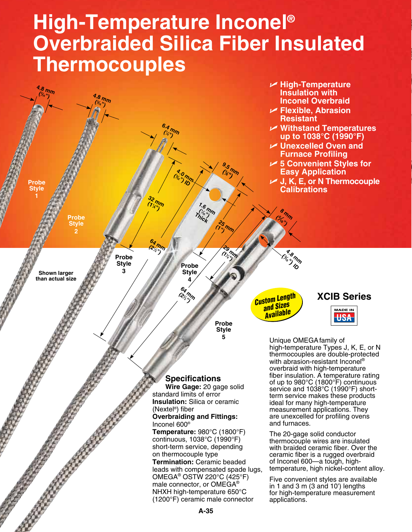# **High-Temperature Inconel® Overbraided Silica Fiber Insulated Thermocouples**